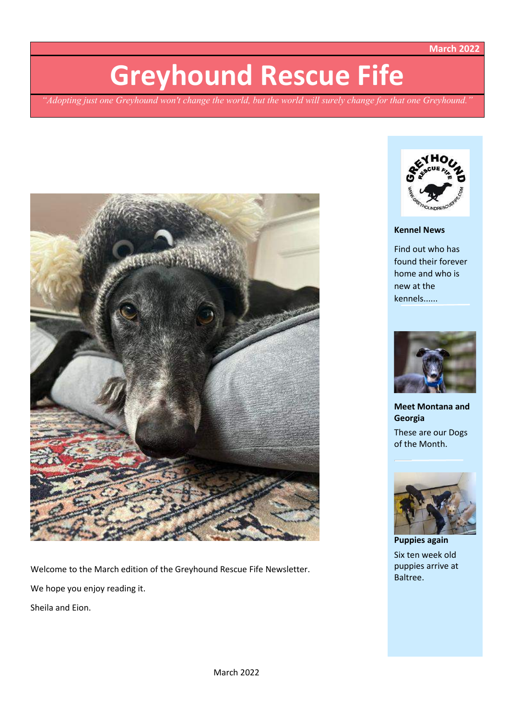**March 2022**

# **Greyhound Rescue Fife**

*"Adopting just one Greyhound won't change the world, but the world will surely change for that one Greyhound."*



Welcome to the March edition of the Greyhound Rescue Fife Newsletter. We hope you enjoy reading it. Sheila and Eion.



# **Kennel News**

Find out who has found their forever home and who is new at the kennels......



**Meet Montana and Georgia** These are our Dogs of the Month.



**Puppies again** Six ten week old puppies arrive at Baltree.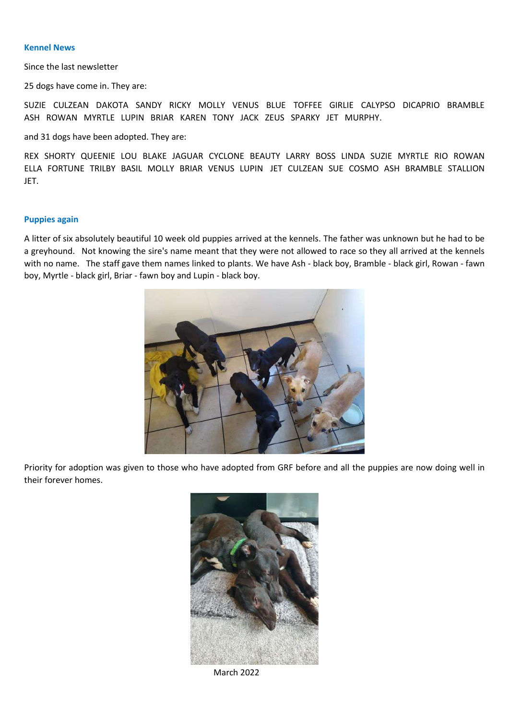### **Kennel News**

Since the last newsletter

25 dogs have come in. They are:

SUZIE CULZEAN DAKOTA SANDY RICKY MOLLY VENUS BLUE TOFFEE GIRLIE CALYPSO DICAPRIO BRAMBLE ASH ROWAN MYRTLE LUPIN BRIAR KAREN TONY JACK ZEUS SPARKY JET MURPHY.

and 31 dogs have been adopted. They are:

REX SHORTY QUEENIE LOU BLAKE JAGUAR CYCLONE BEAUTY LARRY BOSS LINDA SUZIE MYRTLE RIO ROWAN ELLA FORTUNE TRILBY BASIL MOLLY BRIAR VENUS LUPIN JET CULZEAN SUE COSMO ASH BRAMBLE STALLION JET.

## **Puppies again**

A litter of six absolutely beautiful 10 week old puppies arrived at the kennels. The father was unknown but he had to be a greyhound. Not knowing the sire's name meant that they were not allowed to race so they all arrived at the kennels with no name. The staff gave them names linked to plants. We have Ash - black boy, Bramble - black girl, Rowan - fawn boy, Myrtle - black girl, Briar - fawn boy and Lupin - black boy.



Priority for adoption was given to those who have adopted from GRF before and all the puppies are now doing well in their forever homes.



March 2022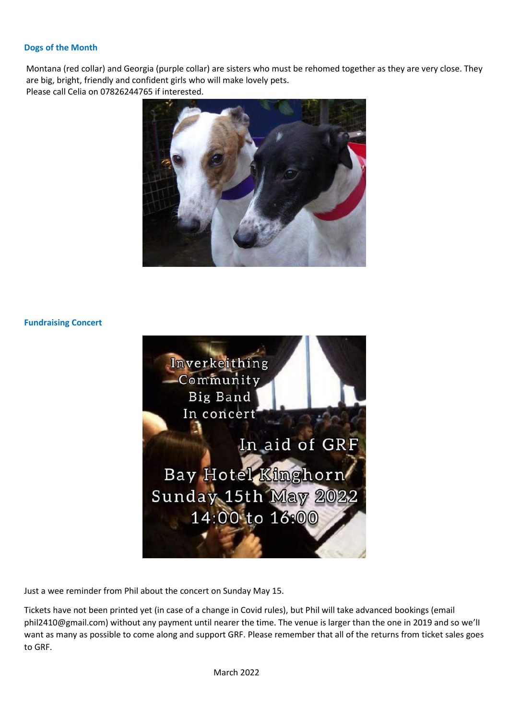# **Dogs of the Month**

Montana (red collar) and Georgia (purple collar) are sisters who must be rehomed together as they are very close. They are big, bright, friendly and confident girls who will make lovely pets. Please call Celia on 07826244765 if interested.



## **Fundraising Concert**



Just a wee reminder from Phil about the concert on Sunday May 15.

Tickets have not been printed yet (in case of a change in Covid rules), but Phil will take advanced bookings (email phil2410@gmail.com) without any payment until nearer the time. The venue is larger than the one in 2019 and so we'lI want as many as possible to come along and support GRF. Please remember that all of the returns from ticket sales goes to GRF.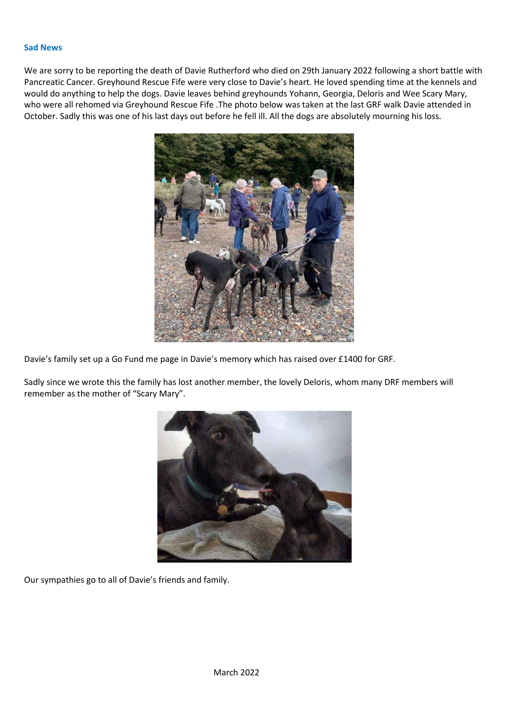#### **Sad News**

We are sorry to be reporting the death of Davie Rutherford who died on 29th January 2022 following a short battle with Pancreatic Cancer. Greyhound Rescue Fife were very close to Davie's heart. He loved spending time at the kennels and would do anything to help the dogs. Davie leaves behind greyhounds Yohann, Georgia, Deloris and Wee Scary Mary, who were all rehomed via Greyhound Rescue Fife .The photo below was taken at the last GRF walk Davie attended in October. Sadly this was one of his last days out before he fell ill. All the dogs are absolutely mourning his loss.



Davie's family set up a Go Fund me page in Davie's memory which has raised over £1400 for GRF.

Sadly since we wrote this the family has lost another member, the lovely Deloris, whom many DRF members will remember as the mother of "Scary Mary".



Our sympathies go to all of Davie's friends and family.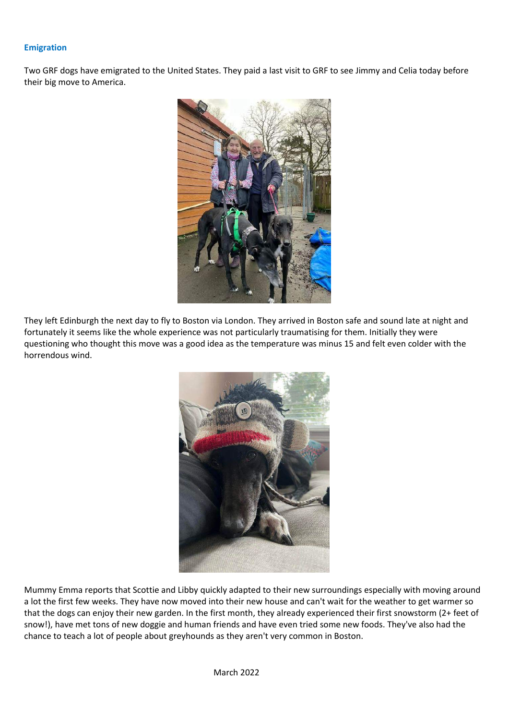## **Emigration**

Two GRF dogs have emigrated to the United States. They paid a last visit to GRF to see Jimmy and Celia today before their big move to America.



They left Edinburgh the next day to fly to Boston via London. They arrived in Boston safe and sound late at night and fortunately it seems like the whole experience was not particularly traumatising for them. Initially they were questioning who thought this move was a good idea as the temperature was minus 15 and felt even colder with the horrendous wind.



Mummy Emma reports that Scottie and Libby quickly adapted to their new surroundings especially with moving around a lot the first few weeks. They have now moved into their new house and can't wait for the weather to get warmer so that the dogs can enjoy their new garden. In the first month, they already experienced their first snowstorm (2+ feet of snow!), have met tons of new doggie and human friends and have even tried some new foods. They've also had the chance to teach a lot of people about greyhounds as they aren't very common in Boston.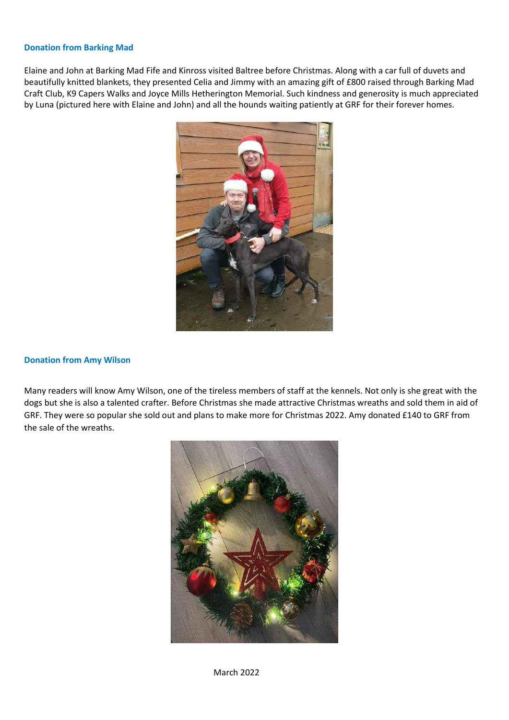### **Donation from Barking Mad**

Elaine and John at Barking Mad Fife and Kinross visited Baltree before Christmas. Along with a car full of duvets and beautifully knitted blankets, they presented Celia and Jimmy with an amazing gift of £800 raised through Barking Mad Craft Club, K9 Capers Walks and Joyce Mills Hetherington Memorial. Such kindness and generosity is much appreciated by Luna (pictured here with Elaine and John) and all the hounds waiting patiently at GRF for their forever homes.



## **Donation from Amy Wilson**

Many readers will know Amy Wilson, one of the tireless members of staff at the kennels. Not only is she great with the dogs but she is also a talented crafter. Before Christmas she made attractive Christmas wreaths and sold them in aid of GRF. They were so popular she sold out and plans to make more for Christmas 2022. Amy donated £140 to GRF from the sale of the wreaths.

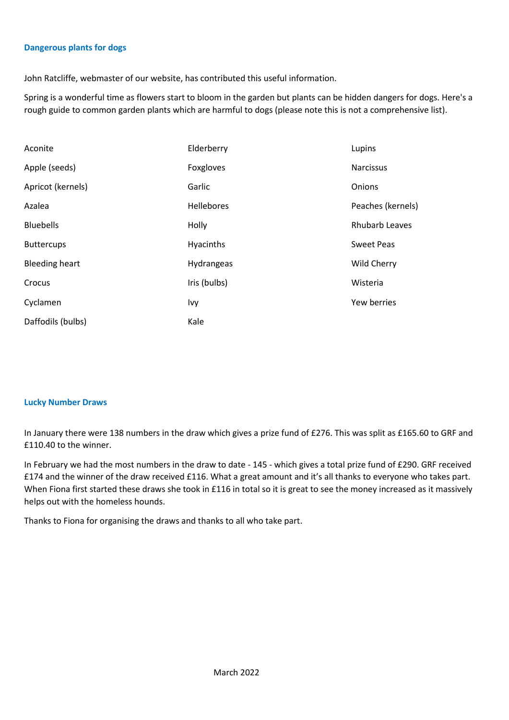## **Dangerous plants for dogs**

John Ratcliffe, webmaster of our website, has contributed this useful information.

Spring is a wonderful time as flowers start to bloom in the garden but plants can be hidden dangers for dogs. Here's a rough guide to common garden plants which are harmful to dogs (please note this is not a comprehensive list).

| Aconite               | Elderberry        | Lupins            |
|-----------------------|-------------------|-------------------|
| Apple (seeds)         | Foxgloves         | <b>Narcissus</b>  |
| Apricot (kernels)     | Garlic            | Onions            |
| Azalea                | <b>Hellebores</b> | Peaches (kernels) |
| <b>Bluebells</b>      | Holly             | Rhubarb Leaves    |
| <b>Buttercups</b>     | Hyacinths         | <b>Sweet Peas</b> |
| <b>Bleeding heart</b> | Hydrangeas        | Wild Cherry       |
| Crocus                | Iris (bulbs)      | Wisteria          |
| Cyclamen              | Ivy               | Yew berries       |
| Daffodils (bulbs)     | Kale              |                   |

### **Lucky Number Draws**

In January there were 138 numbers in the draw which gives a prize fund of £276. This was split as £165.60 to GRF and £110.40 to the winner.

In February we had the most numbers in the draw to date - 145 - which gives a total prize fund of £290. GRF received £174 and the winner of the draw received £116. What a great amount and it's all thanks to everyone who takes part. When Fiona first started these draws she took in £116 in total so it is great to see the money increased as it massively helps out with the homeless hounds.

Thanks to Fiona for organising the draws and thanks to all who take part.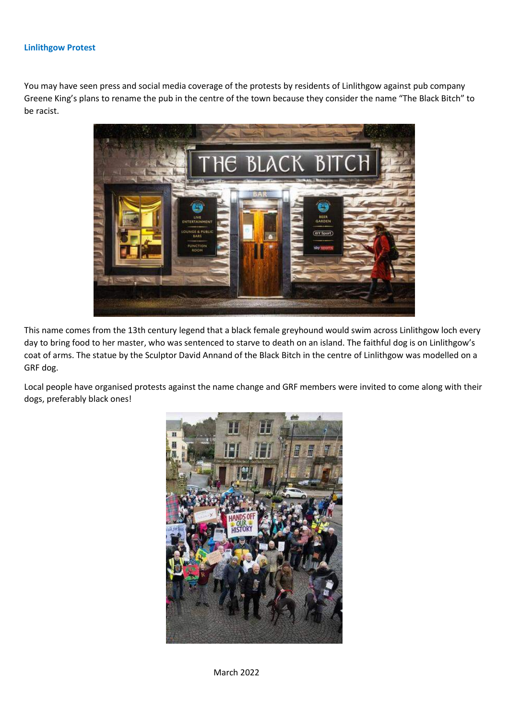## **Linlithgow Protest**

You may have seen press and social media coverage of the protests by residents of Linlithgow against pub company Greene King's plans to rename the pub in the centre of the town because they consider the name "The Black Bitch" to be racist.



This name comes from the 13th century legend that a black female greyhound would swim across Linlithgow loch every day to bring food to her master, who was sentenced to starve to death on an island. The faithful dog is on Linlithgow's coat of arms. The statue by the Sculptor David Annand of the Black Bitch in the centre of Linlithgow was modelled on a GRF dog.

Local people have organised protests against the name change and GRF members were invited to come along with their dogs, preferably black ones!



March 2022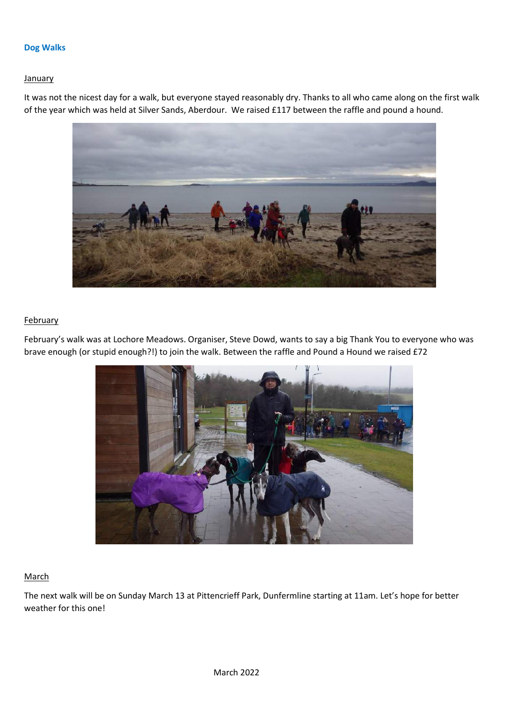## **Dog Walks**

## **January**

It was not the nicest day for a walk, but everyone stayed reasonably dry. Thanks to all who came along on the first walk of the year which was held at Silver Sands, Aberdour. We raised £117 between the raffle and pound a hound.



# **February**

February's walk was at Lochore Meadows. Organiser, Steve Dowd, wants to say a big Thank You to everyone who was brave enough (or stupid enough?!) to join the walk. Between the raffle and Pound a Hound we raised £72



# March

The next walk will be on Sunday March 13 at Pittencrieff Park, Dunfermline starting at 11am. Let's hope for better weather for this one!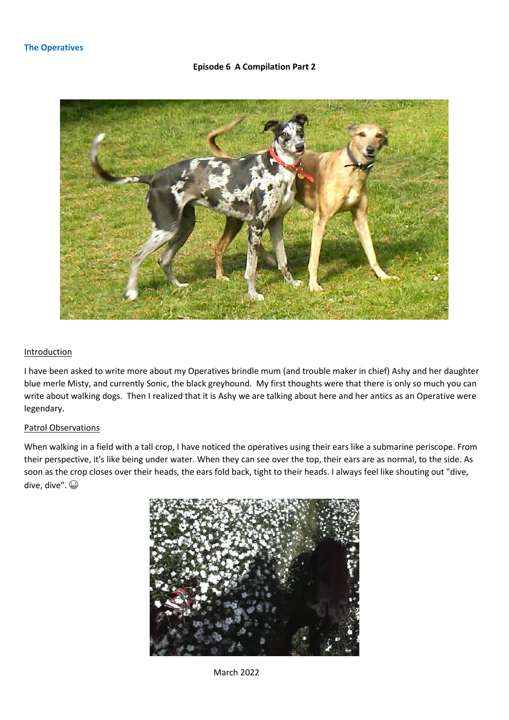# **Episode 6 A Compilation Part 2**



### Introduction

I have been asked to write more about my Operatives brindle mum (and trouble maker in chief) Ashy and her daughter blue merle Misty, and currently Sonic, the black greyhound. My first thoughts were that there is only so much you can write about walking dogs. Then I realized that it is Ashy we are talking about here and her antics as an Operative were legendary.

# Patrol Observations

When walking in a field with a tall crop, I have noticed the operatives using their ears like a submarine periscope. From their perspective, it's like being under water. When they can see over the top, their ears are as normal, to the side. As soon as the crop closes over their heads, the ears fold back, tight to their heads. I always feel like shouting out "dive, dive, dive".



March 2022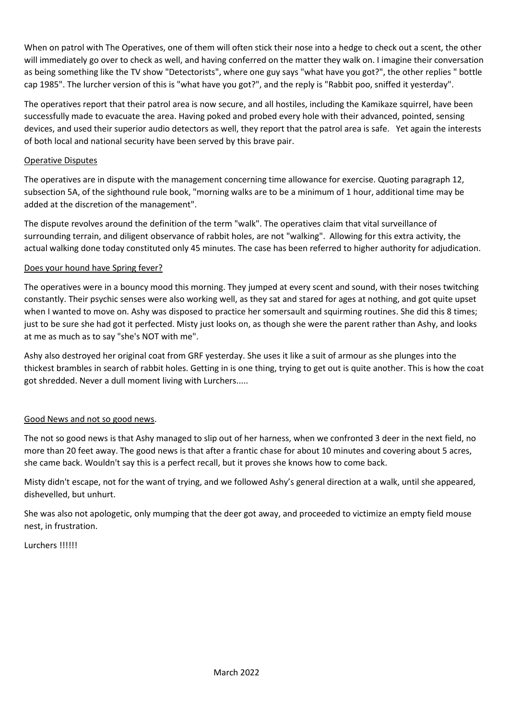When on patrol with The Operatives, one of them will often stick their nose into a hedge to check out a scent, the other will immediately go over to check as well, and having conferred on the matter they walk on. I imagine their conversation as being something like the TV show "Detectorists", where one guy says "what have you got?", the other replies " bottle cap 1985". The lurcher version of this is "what have you got?", and the reply is "Rabbit poo, sniffed it yesterday".

The operatives report that their patrol area is now secure, and all hostiles, including the Kamikaze squirrel, have been successfully made to evacuate the area. Having poked and probed every hole with their advanced, pointed, sensing devices, and used their superior audio detectors as well, they report that the patrol area is safe. Yet again the interests of both local and national security have been served by this brave pair.

# Operative Disputes

The operatives are in dispute with the management concerning time allowance for exercise. Quoting paragraph 12, subsection 5A, of the sighthound rule book, "morning walks are to be a minimum of 1 hour, additional time may be added at the discretion of the management".

The dispute revolves around the definition of the term "walk". The operatives claim that vital surveillance of surrounding terrain, and diligent observance of rabbit holes, are not "walking". Allowing for this extra activity, the actual walking done today constituted only 45 minutes. The case has been referred to higher authority for adjudication.

# Does your hound have Spring fever?

The operatives were in a bouncy mood this morning. They jumped at every scent and sound, with their noses twitching constantly. Their psychic senses were also working well, as they sat and stared for ages at nothing, and got quite upset when I wanted to move on. Ashy was disposed to practice her somersault and squirming routines. She did this 8 times; just to be sure she had got it perfected. Misty just looks on, as though she were the parent rather than Ashy, and looks at me as much as to say "she's NOT with me".

Ashy also destroyed her original coat from GRF yesterday. She uses it like a suit of armour as she plunges into the thickest brambles in search of rabbit holes. Getting in is one thing, trying to get out is quite another. This is how the coat got shredded. Never a dull moment living with Lurchers.....

# Good News and not so good news.

The not so good news is that Ashy managed to slip out of her harness, when we confronted 3 deer in the next field, no more than 20 feet away. The good news is that after a frantic chase for about 10 minutes and covering about 5 acres, she came back. Wouldn't say this is a perfect recall, but it proves she knows how to come back.

Misty didn't escape, not for the want of trying, and we followed Ashy's general direction at a walk, until she appeared, dishevelled, but unhurt.

She was also not apologetic, only mumping that the deer got away, and proceeded to victimize an empty field mouse nest, in frustration.

Lurchers !!!!!!